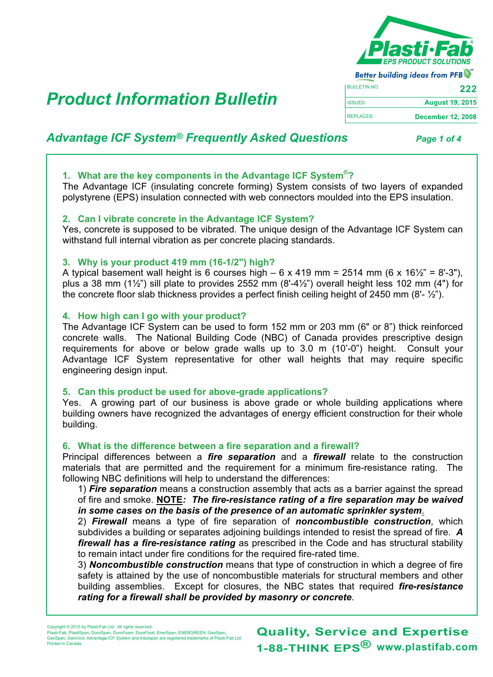

Better building ideas from PFB BULLETIN NO. **August 19, 2015** ISSUED: REPLACES: **December 12, 2008**

# **Product Information Bulletin**

# *Advantage ICF System® Frequently Asked Questions Page 1 of 4*

# **1. What are the key components in the Advantage ICF System®?**

The Advantage ICF (insulating concrete forming) System consists of two layers of expanded polystyrene (EPS) insulation connected with web connectors moulded into the EPS insulation.

# **2. Can I vibrate concrete in the Advantage ICF System?**

Yes, concrete is supposed to be vibrated. The unique design of the Advantage ICF System can withstand full internal vibration as per concrete placing standards.

# **3. Why is your product 419 mm (16-1/2") high?**

A typical basement wall height is 6 courses high – 6 x 419 mm = 2514 mm (6 x 16 $\frac{1}{2}$ " = 8'-3"), plus a 38 mm (1 $\frac{1}{2}$ ) sill plate to provides 2552 mm (8'-4 $\frac{1}{2}$ ) overall height less 102 mm (4") for the concrete floor slab thickness provides a perfect finish ceiling height of 2450 mm  $(8-\frac{1}{2})$ .

# **4. How high can I go with your product?**

The Advantage ICF System can be used to form 152 mm or 203 mm (6" or 8") thick reinforced concrete walls. The National Building Code (NBC) of Canada provides prescriptive design requirements for above or below grade walls up to 3.0 m (10'-0") height. Consult your Advantage ICF System representative for other wall heights that may require specific engineering design input.

# **5. Can this product be used for above-grade applications?**

Yes. A growing part of our business is above grade or whole building applications where building owners have recognized the advantages of energy efficient construction for their whole building.

# **6. What is the difference between a fire separation and a firewall?**

Principal differences between a *fire separation* and a *firewall* relate to the construction materials that are permitted and the requirement for a minimum fire-resistance rating. The following NBC definitions will help to understand the differences:

1) *Fire separation* means a construction assembly that acts as a barrier against the spread of fire and smoke. **NOTE***: The fire-resistance rating of a fire separation may be waived in some cases on the basis of the presence of an automatic sprinkler system*.

2) *Firewall* means a type of fire separation of *noncombustible construction*, which subdivides a building or separates adjoining buildings intended to resist the spread of fire. *A firewall has a fire-resistance rating* as prescribed in the Code and has structural stability to remain intact under fire conditions for the required fire-rated time.

3) *Noncombustible construction* means that type of construction in which a degree of fire safety is attained by the use of noncombustible materials for structural members and other building assemblies. Except for closures, the NBC states that required *fire-resistance rating for a firewall shall be provided by masonry or concrete*.

GeoSpan, GeoVoid, Advantage ICF System and Insulspan are registered trademarks of Plasti-Fab Ltd. Printed in Canada

**www.plastifab.com 1-88-THINK EPS® Quality, Service and Expertise**

Copyright © 2015 by Plasti-Fab Ltd. All rights reserved. Plasti-Fab, PlastiSpan, DuroSpan, DuroFoam, DuroFloat, EnerSpan, ENERGREEN, GeoSpec,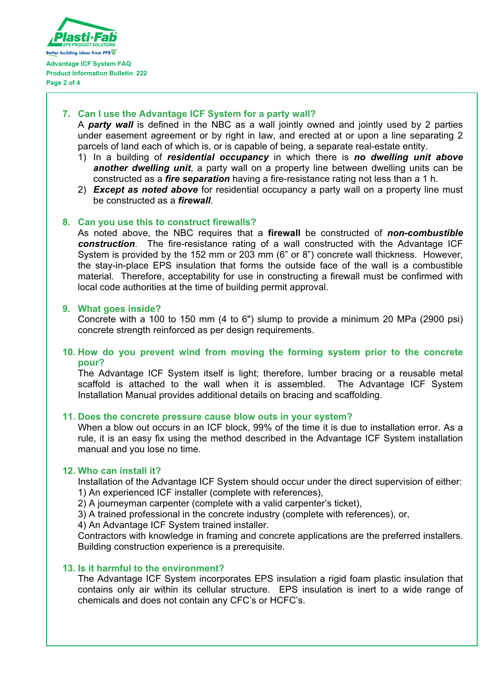

# **7. Can I use the Advantage ICF System for a party wall?**

A *party wall* is defined in the NBC as a wall jointly owned and jointly used by 2 parties under easement agreement or by right in law, and erected at or upon a line separating 2 parcels of land each of which is, or is capable of being, a separate real-estate entity.

- 1) In a building of *residential occupancy* in which there is *no dwelling unit above another dwelling unit*, a party wall on a property line between dwelling units can be constructed as a *fire separation* having a fire-resistance rating not less than a 1 h.
- 2) *Except as noted above* for residential occupancy a party wall on a property line must be constructed as a *firewall*.

# **8. Can you use this to construct firewalls?**

As noted above, the NBC requires that a **firewall** be constructed of *non-combustible construction*. The fire-resistance rating of a wall constructed with the Advantage ICF System is provided by the 152 mm or 203 mm (6" or 8") concrete wall thickness. However, the stay-in-place EPS insulation that forms the outside face of the wall is a combustible material. Therefore, acceptability for use in constructing a firewall must be confirmed with local code authorities at the time of building permit approval.

# **9. What goes inside?**

Concrete with a 100 to 150 mm (4 to 6") slump to provide a minimum 20 MPa (2900 psi) concrete strength reinforced as per design requirements.

# **10. How do you prevent wind from moving the forming system prior to the concrete pour?**

The Advantage ICF System itself is light; therefore, lumber bracing or a reusable metal scaffold is attached to the wall when it is assembled. The Advantage ICF System Installation Manual provides additional details on bracing and scaffolding.

# **11. Does the concrete pressure cause blow outs in your system?**

When a blow out occurs in an ICF block, 99% of the time it is due to installation error. As a rule, it is an easy fix using the method described in the Advantage ICF System installation manual and you lose no time.

# **12. Who can install it?**

Installation of the Advantage ICF System should occur under the direct supervision of either: 1) An experienced ICF installer (complete with references),

- 2) A journeyman carpenter (complete with a valid carpenter's ticket),
- 3) A trained professional in the concrete industry (complete with references), or,
- 4) An Advantage ICF System trained installer.

Contractors with knowledge in framing and concrete applications are the preferred installers. Building construction experience is a prerequisite.

# **13. Is it harmful to the environment?**

The Advantage ICF System incorporates EPS insulation a rigid foam plastic insulation that contains only air within its cellular structure. EPS insulation is inert to a wide range of chemicals and does not contain any CFC's or HCFC's.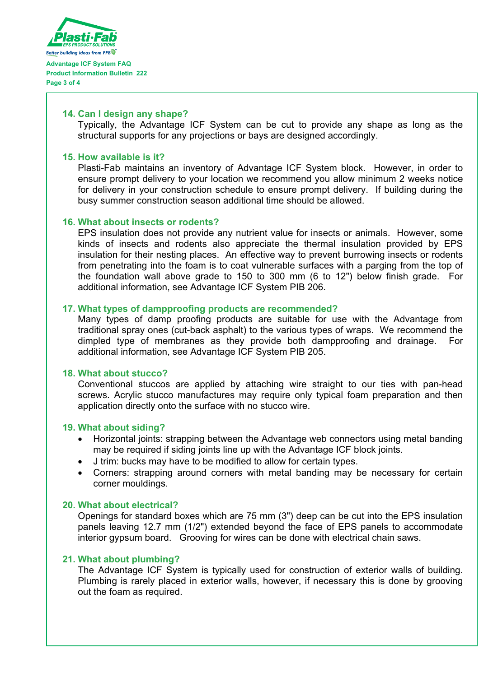

**Page 3 of 4**

#### **14. Can I design any shape?**

Typically, the Advantage ICF System can be cut to provide any shape as long as the structural supports for any projections or bays are designed accordingly.

#### **15. How available is it?**

Plasti-Fab maintains an inventory of Advantage ICF System block. However, in order to ensure prompt delivery to your location we recommend you allow minimum 2 weeks notice for delivery in your construction schedule to ensure prompt delivery. If building during the busy summer construction season additional time should be allowed.

# **16. What about insects or rodents?**

EPS insulation does not provide any nutrient value for insects or animals. However, some kinds of insects and rodents also appreciate the thermal insulation provided by EPS insulation for their nesting places. An effective way to prevent burrowing insects or rodents from penetrating into the foam is to coat vulnerable surfaces with a parging from the top of the foundation wall above grade to 150 to 300 mm (6 to 12") below finish grade. For additional information, see Advantage ICF System PIB 206.

# **17. What types of dampproofing products are recommended?**

Many types of damp proofing products are suitable for use with the Advantage from traditional spray ones (cut-back asphalt) to the various types of wraps. We recommend the dimpled type of membranes as they provide both dampproofing and drainage. For additional information, see Advantage ICF System PIB 205.

#### **18. What about stucco?**

Conventional stuccos are applied by attaching wire straight to our ties with pan-head screws. Acrylic stucco manufactures may require only typical foam preparation and then application directly onto the surface with no stucco wire.

# **19. What about siding?**

- Horizontal joints: strapping between the Advantage web connectors using metal banding may be required if siding joints line up with the Advantage ICF block joints.
- J trim: bucks may have to be modified to allow for certain types.
- Corners: strapping around corners with metal banding may be necessary for certain corner mouldings.

#### **20. What about electrical?**

Openings for standard boxes which are 75 mm (3") deep can be cut into the EPS insulation panels leaving 12.7 mm (1/2") extended beyond the face of EPS panels to accommodate interior gypsum board. Grooving for wires can be done with electrical chain saws.

# **21. What about plumbing?**

The Advantage ICF System is typically used for construction of exterior walls of building. Plumbing is rarely placed in exterior walls, however, if necessary this is done by grooving out the foam as required.